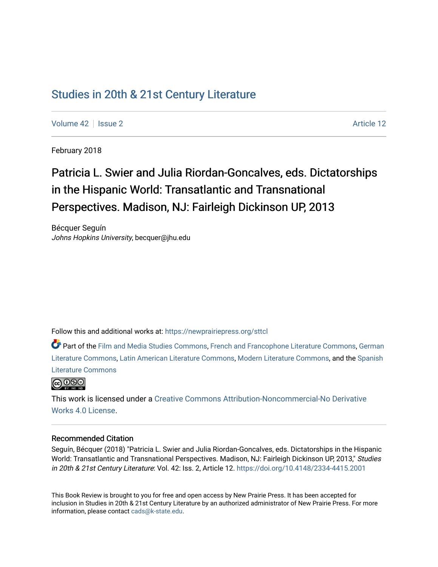# [Studies in 20th & 21st Century Literature](https://newprairiepress.org/sttcl)

[Volume 42](https://newprairiepress.org/sttcl/vol42) | [Issue 2](https://newprairiepress.org/sttcl/vol42/iss2) Article 12

February 2018

# Patricia L. Swier and Julia Riordan-Goncalves, eds. Dictatorships in the Hispanic World: Transatlantic and Transnational Perspectives. Madison, NJ: Fairleigh Dickinson UP, 2013

Bécquer Seguín Johns Hopkins University, becquer@jhu.edu

Follow this and additional works at: [https://newprairiepress.org/sttcl](https://newprairiepress.org/sttcl?utm_source=newprairiepress.org%2Fsttcl%2Fvol42%2Fiss2%2F12&utm_medium=PDF&utm_campaign=PDFCoverPages) 

Part of the [Film and Media Studies Commons,](http://network.bepress.com/hgg/discipline/563?utm_source=newprairiepress.org%2Fsttcl%2Fvol42%2Fiss2%2F12&utm_medium=PDF&utm_campaign=PDFCoverPages) [French and Francophone Literature Commons,](http://network.bepress.com/hgg/discipline/465?utm_source=newprairiepress.org%2Fsttcl%2Fvol42%2Fiss2%2F12&utm_medium=PDF&utm_campaign=PDFCoverPages) [German](http://network.bepress.com/hgg/discipline/469?utm_source=newprairiepress.org%2Fsttcl%2Fvol42%2Fiss2%2F12&utm_medium=PDF&utm_campaign=PDFCoverPages) [Literature Commons,](http://network.bepress.com/hgg/discipline/469?utm_source=newprairiepress.org%2Fsttcl%2Fvol42%2Fiss2%2F12&utm_medium=PDF&utm_campaign=PDFCoverPages) [Latin American Literature Commons,](http://network.bepress.com/hgg/discipline/547?utm_source=newprairiepress.org%2Fsttcl%2Fvol42%2Fiss2%2F12&utm_medium=PDF&utm_campaign=PDFCoverPages) [Modern Literature Commons](http://network.bepress.com/hgg/discipline/1050?utm_source=newprairiepress.org%2Fsttcl%2Fvol42%2Fiss2%2F12&utm_medium=PDF&utm_campaign=PDFCoverPages), and the [Spanish](http://network.bepress.com/hgg/discipline/550?utm_source=newprairiepress.org%2Fsttcl%2Fvol42%2Fiss2%2F12&utm_medium=PDF&utm_campaign=PDFCoverPages)  [Literature Commons](http://network.bepress.com/hgg/discipline/550?utm_source=newprairiepress.org%2Fsttcl%2Fvol42%2Fiss2%2F12&utm_medium=PDF&utm_campaign=PDFCoverPages) 



This work is licensed under a [Creative Commons Attribution-Noncommercial-No Derivative](https://creativecommons.org/licenses/by-nc-nd/4.0/)  [Works 4.0 License](https://creativecommons.org/licenses/by-nc-nd/4.0/).

#### Recommended Citation

Seguín, Bécquer (2018) "Patricia L. Swier and Julia Riordan-Goncalves, eds. Dictatorships in the Hispanic World: Transatlantic and Transnational Perspectives. Madison, NJ: Fairleigh Dickinson UP, 2013," Studies in 20th & 21st Century Literature: Vol. 42: Iss. 2, Article 12.<https://doi.org/10.4148/2334-4415.2001>

This Book Review is brought to you for free and open access by New Prairie Press. It has been accepted for inclusion in Studies in 20th & 21st Century Literature by an authorized administrator of New Prairie Press. For more information, please contact [cads@k-state.edu](mailto:cads@k-state.edu).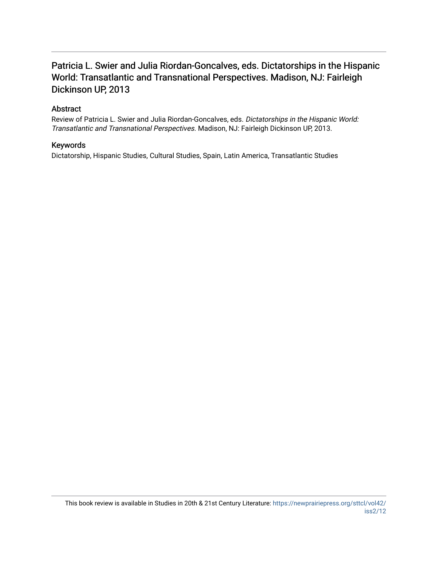## Patricia L. Swier and Julia Riordan-Goncalves, eds. Dictatorships in the Hispanic World: Transatlantic and Transnational Perspectives. Madison, NJ: Fairleigh Dickinson UP, 2013

### Abstract

Review of Patricia L. Swier and Julia Riordan-Goncalves, eds. Dictatorships in the Hispanic World: Transatlantic and Transnational Perspectives. Madison, NJ: Fairleigh Dickinson UP, 2013.

#### Keywords

Dictatorship, Hispanic Studies, Cultural Studies, Spain, Latin America, Transatlantic Studies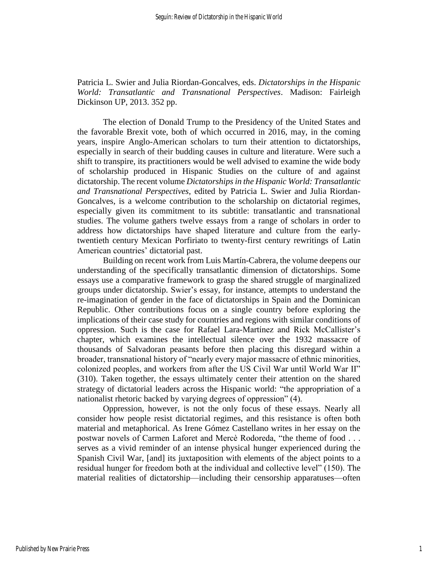Patricia L. Swier and Julia Riordan-Goncalves, eds. *Dictatorships in the Hispanic World: Transatlantic and Transnational Perspectives*. Madison: Fairleigh Dickinson UP, 2013. 352 pp.

The election of Donald Trump to the Presidency of the United States and the favorable Brexit vote, both of which occurred in 2016, may, in the coming years, inspire Anglo-American scholars to turn their attention to dictatorships, especially in search of their budding causes in culture and literature. Were such a shift to transpire, its practitioners would be well advised to examine the wide body of scholarship produced in Hispanic Studies on the culture of and against dictatorship. The recent volume *Dictatorships in the Hispanic World: Transatlantic and Transnational Perspectives*, edited by Patricia L. Swier and Julia Riordan-Goncalves, is a welcome contribution to the scholarship on dictatorial regimes, especially given its commitment to its subtitle: transatlantic and transnational studies. The volume gathers twelve essays from a range of scholars in order to address how dictatorships have shaped literature and culture from the earlytwentieth century Mexican Porfiriato to twenty-first century rewritings of Latin American countries' dictatorial past.

Building on recent work from Luis Martín-Cabrera, the volume deepens our understanding of the specifically transatlantic dimension of dictatorships. Some essays use a comparative framework to grasp the shared struggle of marginalized groups under dictatorship. Swier's essay, for instance, attempts to understand the re-imagination of gender in the face of dictatorships in Spain and the Dominican Republic. Other contributions focus on a single country before exploring the implications of their case study for countries and regions with similar conditions of oppression. Such is the case for Rafael Lara-Martínez and Rick McCallister's chapter, which examines the intellectual silence over the 1932 massacre of thousands of Salvadoran peasants before then placing this disregard within a broader, transnational history of "nearly every major massacre of ethnic minorities, colonized peoples, and workers from after the US Civil War until World War II" (310). Taken together, the essays ultimately center their attention on the shared strategy of dictatorial leaders across the Hispanic world: "the appropriation of a nationalist rhetoric backed by varying degrees of oppression" (4).

Oppression, however, is not the only focus of these essays. Nearly all consider how people resist dictatorial regimes, and this resistance is often both material and metaphorical. As Irene Gómez Castellano writes in her essay on the postwar novels of Carmen Laforet and Mercè Rodoreda, "the theme of food . . . serves as a vivid reminder of an intense physical hunger experienced during the Spanish Civil War, [and] its juxtaposition with elements of the abject points to a residual hunger for freedom both at the individual and collective level" (150). The material realities of dictatorship—including their censorship apparatuses—often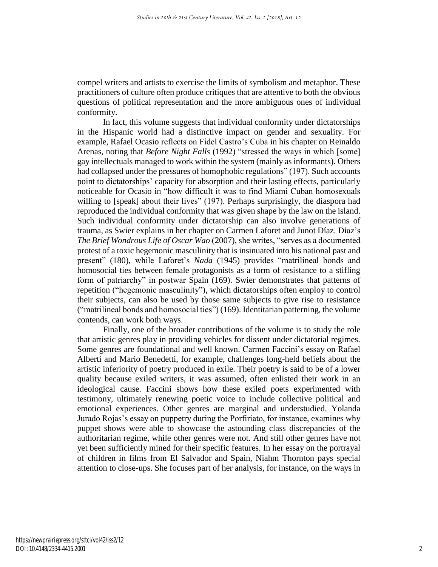compel writers and artists to exercise the limits of symbolism and metaphor. These practitioners of culture often produce critiques that are attentive to both the obvious questions of political representation and the more ambiguous ones of individual conformity.

In fact, this volume suggests that individual conformity under dictatorships in the Hispanic world had a distinctive impact on gender and sexuality. For example, Rafael Ocasio reflects on Fidel Castro's Cuba in his chapter on Reinaldo Arenas, noting that *Before Night Falls* (1992) "stressed the ways in which [some] gay intellectuals managed to work within the system (mainly as informants). Others had collapsed under the pressures of homophobic regulations" (197). Such accounts point to dictatorships' capacity for absorption and their lasting effects, particularly noticeable for Ocasio in "how difficult it was to find Miami Cuban homosexuals willing to [speak] about their lives" (197). Perhaps surprisingly, the diaspora had reproduced the individual conformity that was given shape by the law on the island. Such individual conformity under dictatorship can also involve generations of trauma, as Swier explains in her chapter on Carmen Laforet and Junot Díaz. Díaz's *The Brief Wondrous Life of Oscar Wao* (2007), she writes, "serves as a documented protest of a toxic hegemonic masculinity that is insinuated into his national past and present" (180), while Laforet's *Nada* (1945) provides "matrilineal bonds and homosocial ties between female protagonists as a form of resistance to a stifling form of patriarchy" in postwar Spain (169). Swier demonstrates that patterns of repetition ("hegemonic masculinity"), which dictatorships often employ to control their subjects, can also be used by those same subjects to give rise to resistance ("matrilineal bonds and homosocial ties") (169). Identitarian patterning, the volume contends, can work both ways.

Finally, one of the broader contributions of the volume is to study the role that artistic genres play in providing vehicles for dissent under dictatorial regimes. Some genres are foundational and well known. Carmen Faccini's essay on Rafael Alberti and Mario Benedetti, for example, challenges long-held beliefs about the artistic inferiority of poetry produced in exile. Their poetry is said to be of a lower quality because exiled writers, it was assumed, often enlisted their work in an ideological cause. Faccini shows how these exiled poets experimented with testimony, ultimately renewing poetic voice to include collective political and emotional experiences. Other genres are marginal and understudied. Yolanda Jurado Rojas's essay on puppetry during the Porfiriato, for instance, examines why puppet shows were able to showcase the astounding class discrepancies of the authoritarian regime, while other genres were not. And still other genres have not yet been sufficiently mined for their specific features. In her essay on the portrayal of children in films from El Salvador and Spain, Niahm Thornton pays special attention to close-ups. She focuses part of her analysis, for instance, on the ways in